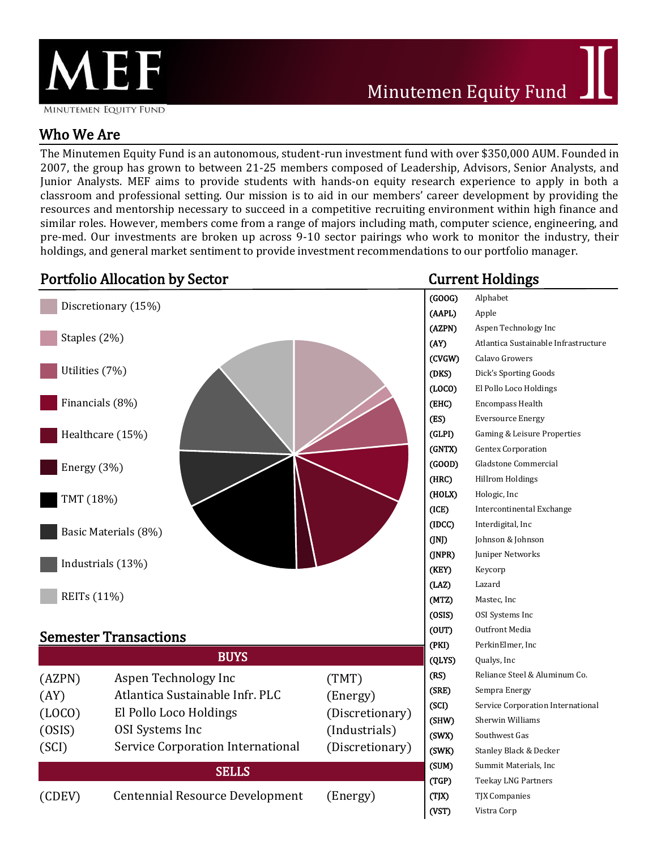

# Who We Are

The Minutemen Equity Fund is an autonomous, student-run investment fund with over \$350,000 AUM. Founded in 2007, the group has grown to between 21-25 members composed of Leadership, Advisors, Senior Analysts, and Junior Analysts. MEF aims to provide students with hands-on equity research experience to apply in both a classroom and professional setting. Our mission is to aid in our members' career development by providing the resources and mentorship necessary to succeed in a competitive recruiting environment within high finance and similar roles. However, members come from a range of majors including math, computer science, engineering, and pre-med. Our investments are broken up across 9-10 sector pairings who work to monitor the industry, their holdings, and general market sentiment to provide investment recommendations to our portfolio manager.

| <b>Portfolio Allocation by Sector</b> |                                   |                 | <b>Current Holdings</b>      |                                      |
|---------------------------------------|-----------------------------------|-----------------|------------------------------|--------------------------------------|
| Discretionary (15%)                   |                                   |                 | (GOOG)                       | Alphabet                             |
|                                       |                                   |                 | (AAPL)                       | Apple                                |
|                                       |                                   |                 | (AZPN)                       | Aspen Technology Inc                 |
| Staples (2%)                          |                                   |                 | (AY)                         | Atlantica Sustainable Infrastructure |
|                                       |                                   |                 | (CVGW)                       | Calavo Growers                       |
| Utilities (7%)                        |                                   |                 | (DKS)                        | Dick's Sporting Goods                |
|                                       |                                   |                 | (LOCO)                       | El Pollo Loco Holdings               |
| Financials (8%)                       |                                   |                 | (EHC)                        | <b>Encompass Health</b>              |
|                                       |                                   |                 | (ES)                         | <b>Eversource Energy</b>             |
| Healthcare (15%)                      |                                   |                 | (GLPI)                       | Gaming & Leisure Properties          |
|                                       |                                   |                 | (GNTX)                       | <b>Gentex Corporation</b>            |
| Energy (3%)                           |                                   |                 | (GOOD)                       | Gladstone Commercial                 |
|                                       |                                   |                 | (HRC)                        | <b>Hillrom Holdings</b>              |
| TMT (18%)                             |                                   |                 | (HOLX)                       | Hologic, Inc                         |
|                                       |                                   |                 | (ICE)<br>(IDCC)              | Intercontinental Exchange            |
| Basic Materials (8%)                  |                                   |                 |                              | Interdigital, Inc                    |
|                                       |                                   |                 | (INJ)                        | Johnson & Johnson                    |
| Industrials (13%)                     |                                   |                 | (JNPR)                       | Juniper Networks                     |
|                                       |                                   |                 | (KEY)                        | Keycorp                              |
| REITs (11%)                           |                                   |                 | (LAZ)                        | Lazard                               |
|                                       |                                   |                 | (MTZ)                        | Mastec, Inc                          |
|                                       |                                   |                 | (OSIS)<br>(0 <sub>UT</sub> ) | OSI Systems Inc                      |
| <b>Semester Transactions</b>          |                                   |                 |                              | Outfront Media                       |
|                                       |                                   |                 | (PKI)                        | PerkinElmer, Inc                     |
|                                       | <b>BUYS</b>                       |                 | (QLYS)                       | Qualys, Inc                          |
| (AZPN)                                | Aspen Technology Inc              | (TMT)           | (RS)                         | Reliance Steel & Aluminum Co.        |
| (AY)                                  | Atlantica Sustainable Infr. PLC   | (Energy)        | (SRE)                        | Sempra Energy                        |
| (LOCO)                                | El Pollo Loco Holdings            | (Discretionary) | (SCI)                        | Service Corporation International    |
| (OSIS)                                | <b>OSI</b> Systems Inc            | (Industrials)   | (SHW)                        | Sherwin Williams                     |
| (SCI)                                 | Service Corporation International |                 | (SWX)                        | Southwest Gas                        |
|                                       |                                   | (Discretionary) | (SWK)<br>(SUM)               | Stanley Black & Decker               |
| <b>SELLS</b>                          |                                   |                 |                              | Summit Materials, Inc                |
|                                       |                                   |                 | (TGP)                        | Teekay LNG Partners                  |
| (CDEV)                                | Centennial Resource Development   | (Energy)        | (T X)                        | <b>TJX Companies</b>                 |
|                                       |                                   |                 | (VST)                        | Vistra Corp                          |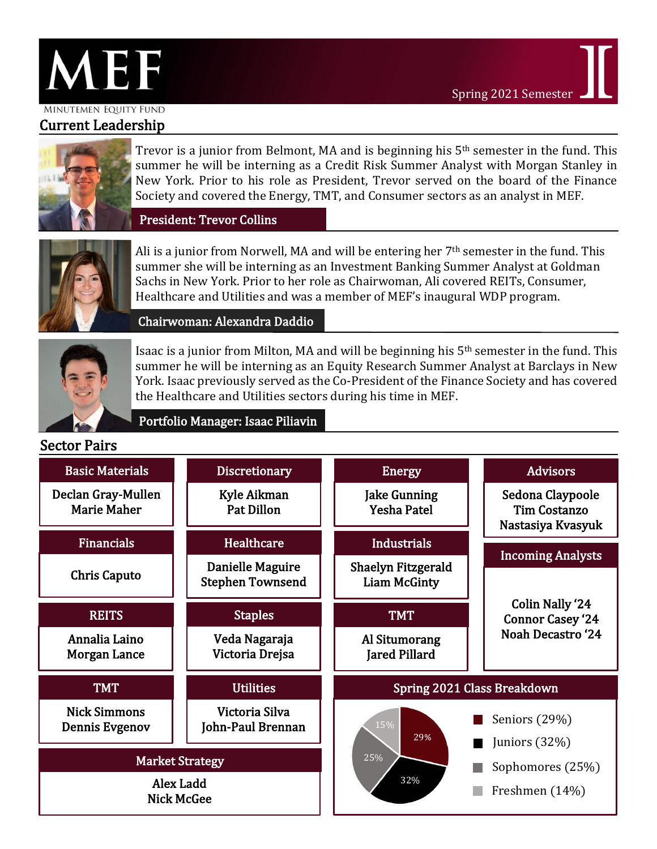

#### MINUTEMEN EQUITY FUND

## Current Leadership



Trevor is a junior from Belmont, MA and is beginning his 5<sup>th</sup> semester in the fund. This summer he will be interning as a Credit Risk Summer Analyst with Morgan Stanley in New York. Prior to his role as President, Trevor served on the board of the Finance Society and covered the Energy, TMT, and Consumer sectors as an analyst in MEF.

President: Trevor Collins



Ali is a junior from Norwell, MA and will be entering her  $7<sup>th</sup>$  semester in the fund. This summer she will be interning as an Investment Banking Summer Analyst at Goldman Sachs in New York. Prior to her role as Chairwoman, Ali covered REITs, Consumer, Healthcare and Utilities and was a member of MEF's inaugural WDP program.

Chairwoman: Alexandra Daddio

Portfolio Manager: Isaac Piliavin



Isaac is a junior from Milton, MA and will be beginning his 5th semester in the fund. This summer he will be interning as an Equity Research Summer Analyst at Barclays in New York. Isaac previously served as the Co-President of the Finance Society and has covered the Healthcare and Utilities sectors during his time in MEF.

### Sector Pairs

| <b>Basic Materials</b>                   | <b>Discretionary</b>                        | <b>Energy</b>                                    | <b>Advisors</b>                                              |  |
|------------------------------------------|---------------------------------------------|--------------------------------------------------|--------------------------------------------------------------|--|
| Declan Gray-Mullen<br><b>Marie Maher</b> | Kyle Aikman<br><b>Pat Dillon</b>            | <b>Jake Gunning</b><br><b>Yesha Patel</b>        | Sedona Claypoole<br><b>Tim Costanzo</b><br>Nastasiya Kvasyuk |  |
| <b>Financials</b>                        | Healthcare                                  | <b>Industrials</b>                               |                                                              |  |
| <b>Chris Caputo</b>                      | Danielle Maguire<br><b>Stephen Townsend</b> | <b>Shaelyn Fitzgerald</b><br><b>Liam McGinty</b> | <b>Incoming Analysts</b>                                     |  |
| <b>REITS</b>                             | <b>Staples</b>                              | <b>TMT</b>                                       | <b>Colin Nally '24</b><br><b>Connor Casey '24</b>            |  |
| Annalia Laino<br>Morgan Lance            | Veda Nagaraja<br>Victoria Drejsa            | Al Situmorang<br><b>Jared Pillard</b>            | <b>Noah Decastro '24</b>                                     |  |
| <b>TMT</b>                               | <b>Utilities</b>                            | Spring 2021 Class Breakdown                      |                                                              |  |
| <b>Nick Simmons</b><br>Dennis Evgenov    | Victoria Silva<br>John-Paul Brennan         | 15%<br>29%                                       | Seniors (29%)<br>Juniors $(32%)$                             |  |
| <b>Market Strategy</b>                   |                                             | 25%<br>Sophomores (25%)                          |                                                              |  |
| Alex Ladd<br><b>Nick McGee</b>           |                                             | 32%                                              | Freshmen (14%)                                               |  |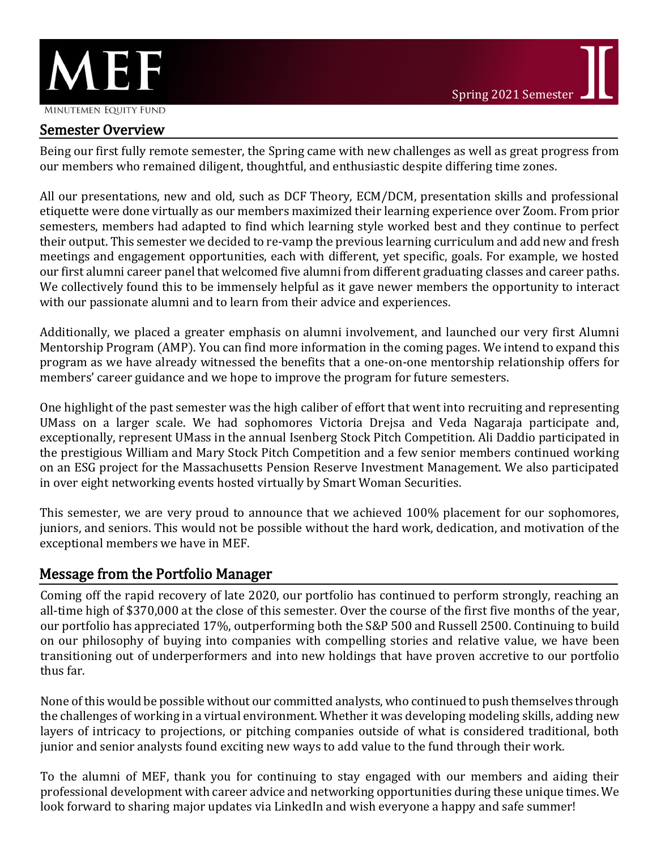

Being our first fully remote semester, the Spring came with new challenges as well as great progress from our members who remained diligent, thoughtful, and enthusiastic despite differing time zones.

All our presentations, new and old, such as DCF Theory, ECM/DCM, presentation skills and professional etiquette were done virtually as our members maximized their learning experience over Zoom. From prior semesters, members had adapted to find which learning style worked best and they continue to perfect their output. This semester we decided to re-vamp the previous learning curriculum and add new and fresh meetings and engagement opportunities, each with different, yet specific, goals. For example, we hosted our first alumni career panel that welcomed five alumni from different graduating classes and career paths. We collectively found this to be immensely helpful as it gave newer members the opportunity to interact with our passionate alumni and to learn from their advice and experiences.

Additionally, we placed a greater emphasis on alumni involvement, and launched our very first Alumni Mentorship Program (AMP). You can find more information in the coming pages. We intend to expand this program as we have already witnessed the benefits that a one-on-one mentorship relationship offers for members' career guidance and we hope to improve the program for future semesters.

One highlight of the past semester was the high caliber of effort that went into recruiting and representing UMass on a larger scale. We had sophomores Victoria Drejsa and Veda Nagaraja participate and, exceptionally, represent UMass in the annual Isenberg Stock Pitch Competition. Ali Daddio participated in the prestigious William and Mary Stock Pitch Competition and a few senior members continued working on an ESG project for the Massachusetts Pension Reserve Investment Management. We also participated in over eight networking events hosted virtually by Smart Woman Securities.

This semester, we are very proud to announce that we achieved 100% placement for our sophomores, juniors, and seniors. This would not be possible without the hard work, dedication, and motivation of the exceptional members we have in MEF.

## Message from the Portfolio Manager

Coming off the rapid recovery of late 2020, our portfolio has continued to perform strongly, reaching an all-time high of \$370,000 at the close of this semester. Over the course of the first five months of the year, our portfolio has appreciated 17%, outperforming both the S&P 500 and Russell 2500. Continuing to build on our philosophy of buying into companies with compelling stories and relative value, we have been transitioning out of underperformers and into new holdings that have proven accretive to our portfolio thus far.

None of this would be possible without our committed analysts, who continued to push themselves through the challenges of working in a virtual environment. Whether it was developing modeling skills, adding new layers of intricacy to projections, or pitching companies outside of what is considered traditional, both junior and senior analysts found exciting new ways to add value to the fund through their work.

To the alumni of MEF, thank you for continuing to stay engaged with our members and aiding their professional development with career advice and networking opportunities during these unique times. We look forward to sharing major updates via LinkedIn and wish everyone a happy and safe summer!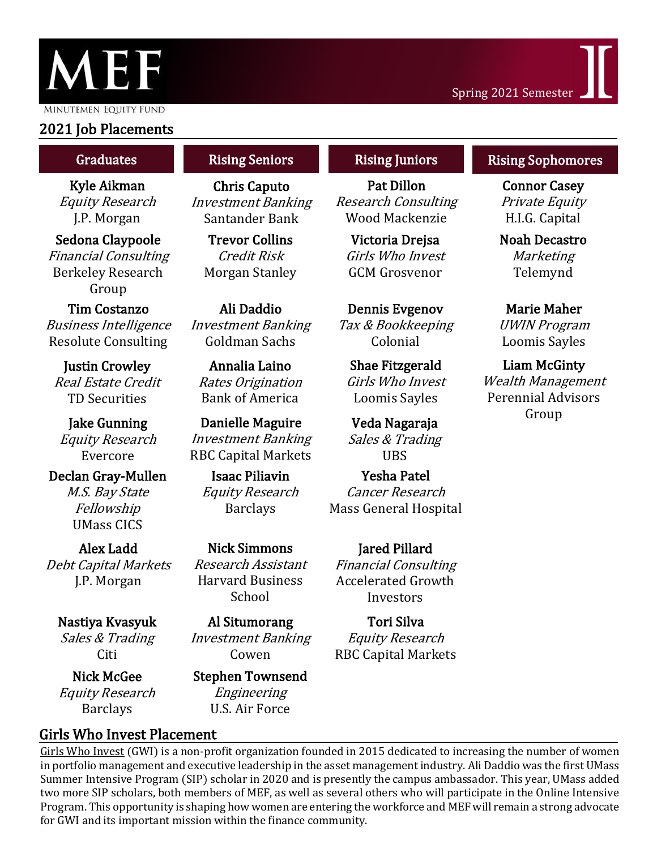

MINUTEMEN EQUITY FUND

## 2021 Job Placements

Kyle Aikman Equity Research J.P. Morgan

Sedona Claypoole Financial Consulting Berkeley Research Group

Tim Costanzo Business Intelligence Resolute Consulting

Justin Crowley Real Estate Credit TD Securities

Jake Gunning Equity Research Evercore

Declan Gray-Mullen M.S. Bay State Fellowship UMass CICS

Alex Ladd Debt Capital Markets J.P. Morgan

Nastiya Kvasyuk Sales & Trading Citi

Nick McGee Equity Research Barclays

#### Rising Seniors

Chris Caputo Investment Banking Santander Bank

Trevor Collins Credit Risk Morgan Stanley

Ali Daddio Investment Banking Goldman Sachs

Annalia Laino Rates Origination Bank of America

Danielle Maguire Investment Banking RBC Capital Markets

Isaac Piliavin Equity Research Barclays

Nick Simmons Research Assistant Harvard Business School

Al Situmorang Investment Banking Cowen

#### Stephen Townsend Engineering U.S. Air Force

Girls Who Invest Placement

Pat Dillon Research Consulting Wood Mackenzie

Victoria Drejsa Girls Who Invest GCM Grosvenor

Dennis Evgenov Tax & Bookkeeping Colonial

Shae Fitzgerald Girls Who Invest Loomis Sayles

Veda Nagaraja Sales & Trading UBS

Yesha Patel Cancer Research Mass General Hospital

Jared Pillard Financial Consulting Accelerated Growth Investors

Tori Silva Equity Research RBC Capital Markets

#### Graduates **Rising Seniors Rising Juniors Rising Sophomores**

Connor Casey Private Equity H.I.G. Capital

Noah Decastro Marketing Telemynd

Marie Maher UWIN Program Loomis Sayles

Liam McGinty Wealth Management Perennial Advisors Group

Girls Who [Invest](https://www.linkedin.com/company/girlswhoinvest/?lipi=urn%3Ali%3Apage%3Ad_flagship3_profile_view_base_recent_activity_details_shares%3BAoYB4iCAShuVl1yo2uTtWA%3D%3D) (GWI) is a non-profit organization founded in 2015 dedicated to increasing the number of women in portfolio management and executive leadership in the asset management industry. Ali Daddio was the first UMass Summer Intensive Program (SIP) scholar in 2020 and is presently the campus ambassador. This year, UMass added two more SIP scholars, both members of MEF, as well as several others who will participate in the Online Intensive Program. This opportunity is shaping how women are entering the workforce and MEF will remain a strong advocate for GWI and its important mission within the finance community.